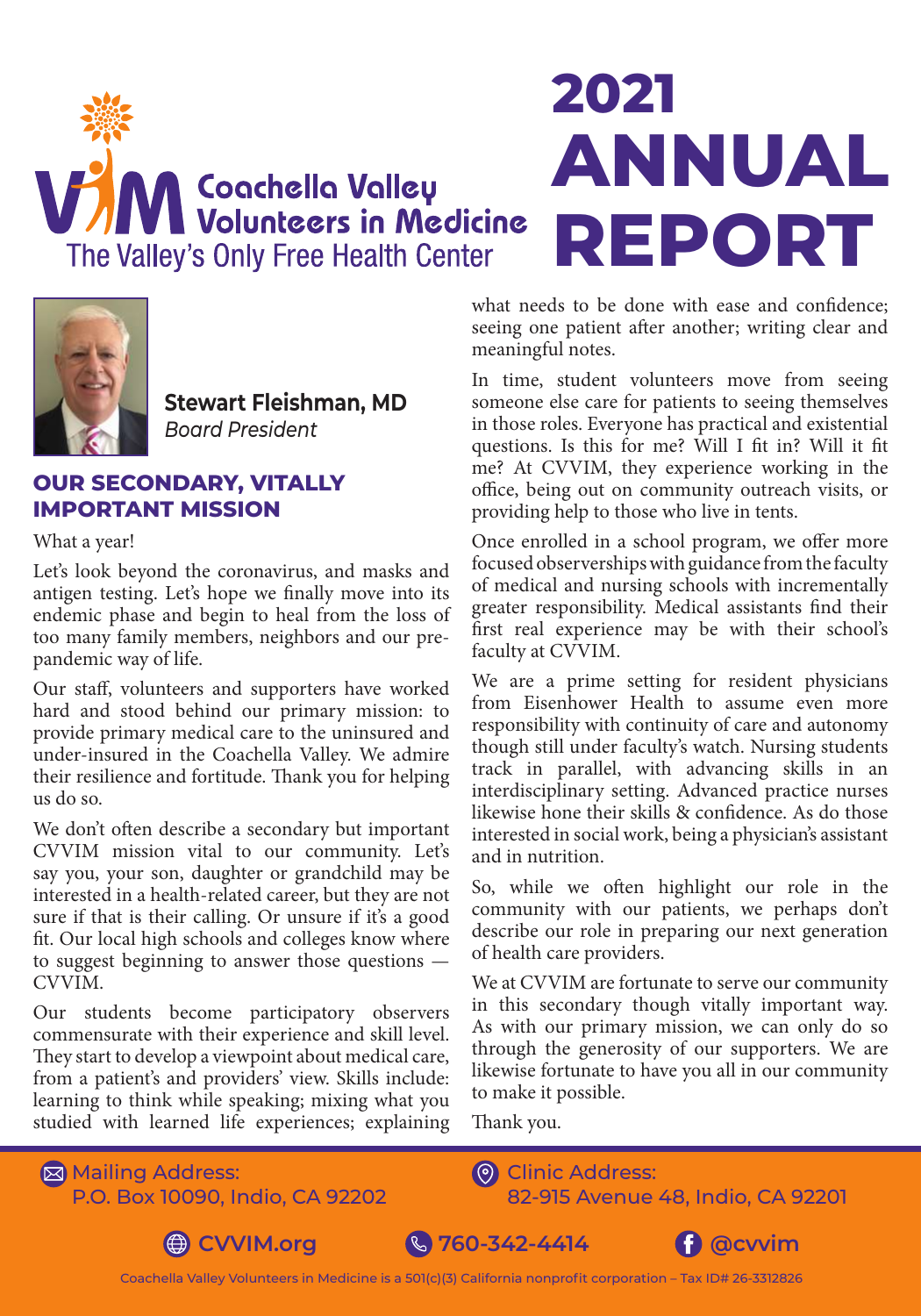



**Stewart Fleishman, MD** *Board President* 

#### **OUR SECONDARY, VITALLY IMPORTANT MISSION**

What a year!

Let's look beyond the coronavirus, and masks and antigen testing. Let's hope we finally move into its endemic phase and begin to heal from the loss of too many family members, neighbors and our prepandemic way of life.

Our staff, volunteers and supporters have worked hard and stood behind our primary mission: to provide primary medical care to the uninsured and under-insured in the Coachella Valley. We admire their resilience and fortitude. Thank you for helping us do so.

We don't often describe a secondary but important CVVIM mission vital to our community. Let's say you, your son, daughter or grandchild may be interested in a health-related career, but they are not sure if that is their calling. Or unsure if it's a good fit. Our local high schools and colleges know where to suggest beginning to answer those questions — CVVIM.

Our students become participatory observers commensurate with their experience and skill level. They start to develop a viewpoint about medical care, from a patient's and providers' view. Skills include: learning to think while speaking; mixing what you studied with learned life experiences; explaining

# **2021 ANNUAL REPORT**

what needs to be done with ease and confidence; seeing one patient after another; writing clear and meaningful notes.

In time, student volunteers move from seeing someone else care for patients to seeing themselves in those roles. Everyone has practical and existential questions. Is this for me? Will I fit in? Will it fit me? At CVVIM, they experience working in the office, being out on community outreach visits, or providing help to those who live in tents.

Once enrolled in a school program, we offer more focused observerships with guidance from the faculty of medical and nursing schools with incrementally greater responsibility. Medical assistants find their first real experience may be with their school's faculty at CVVIM.

We are a prime setting for resident physicians from Eisenhower Health to assume even more responsibility with continuity of care and autonomy though still under faculty's watch. Nursing students track in parallel, with advancing skills in an interdisciplinary setting. Advanced practice nurses likewise hone their skills & confidence. As do those interested in social work, being a physician's assistant and in nutrition.

So, while we often highlight our role in the community with our patients, we perhaps don't describe our role in preparing our next generation of health care providers.

We at CVVIM are fortunate to serve our community in this secondary though vitally important way. As with our primary mission, we can only do so through the generosity of our supporters. We are likewise fortunate to have you all in our community to make it possible.

Thank you.

**⊠ Mailing Address:** P.O. Box 10090, Indio, CA 92202 **O** Clinic Address: 82-915 Avenue 48, Indio, CA 92201



**CVVIM.org & 760-342-4414 f @cwim** 



Coachella Valley Volunteers in Medicine is a 501(c)(3) California nonprofit corporation – Tax ID# 26-3312826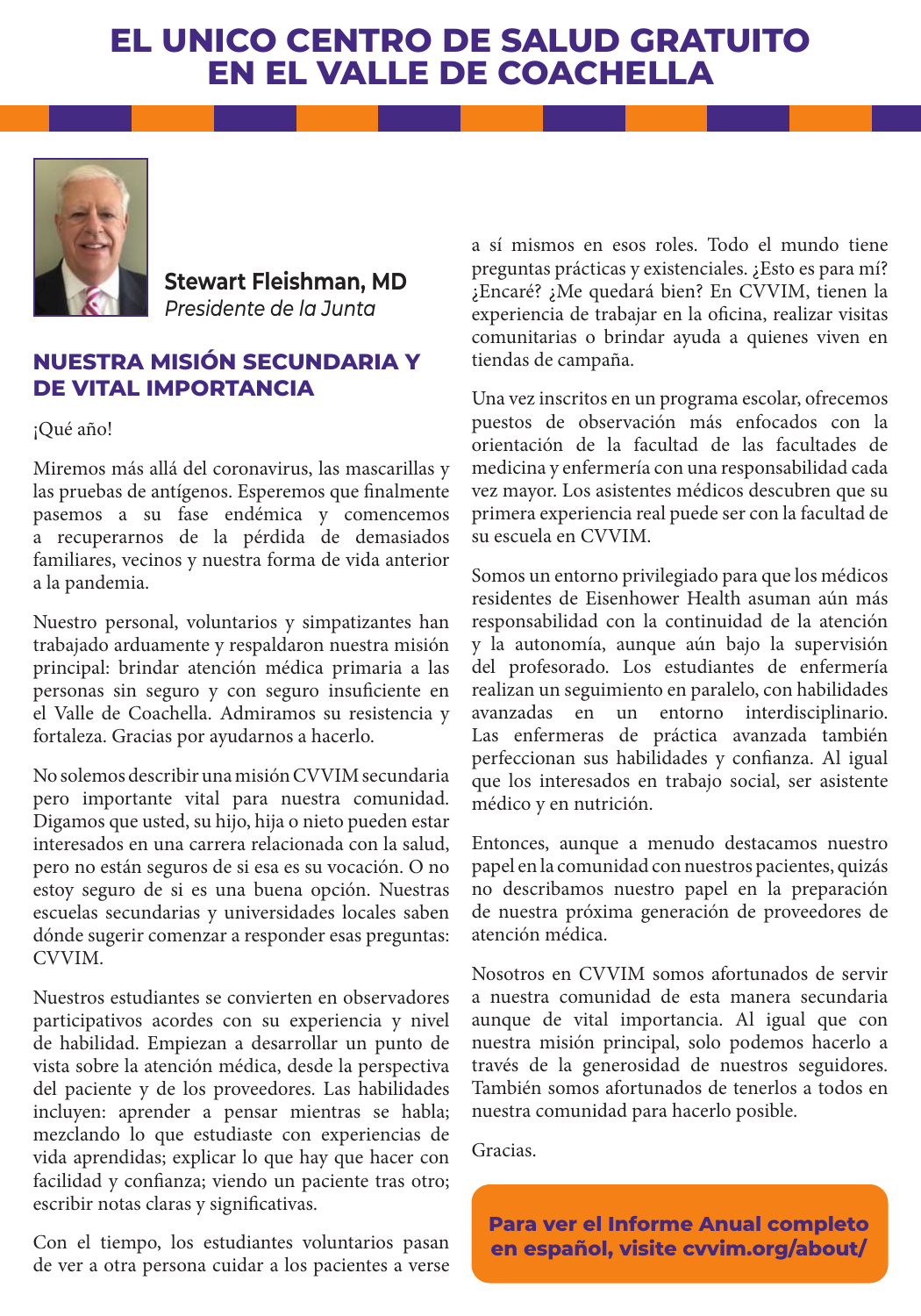### **EL UNICO CENTRO DE SALUD GRATUITO EN EL VALLE DE COACHELLA**



**Stewart Fleishman, MD** *Presidente de la Junta* 

#### **NUESTRA MISIÓN SECUNDARIA Y DE VITAL IMPORTANCIA**

¡Qué año!

Miremos más allá del coronavirus, las mascarillas y las pruebas de antígenos. Esperemos que finalmente pasemos a su fase endémica y comencemos a recuperarnos de la pérdida de demasiados familiares, vecinos y nuestra forma de vida anterior a la pandemia.

Nuestro personal, voluntarios y simpatizantes han trabajado arduamente y respaldaron nuestra misión principal: brindar atención médica primaria a las personas sin seguro y con seguro insuficiente en el Valle de Coachella. Admiramos su resistencia y fortaleza. Gracias por ayudarnos a hacerlo.

No solemos describir una misión CVVIM secundaria pero importante vital para nuestra comunidad. Digamos que usted, su hijo, hija o nieto pueden estar interesados en una carrera relacionada con la salud, pero no están seguros de si esa es su vocación. O no estoy seguro de si es una buena opción. Nuestras escuelas secundarias y universidades locales saben dónde sugerir comenzar a responder esas preguntas: CVVIM.

Nuestros estudiantes se convierten en observadores participativos acordes con su experiencia y nivel de habilidad. Empiezan a desarrollar un punto de vista sobre la atención médica, desde la perspectiva del paciente y de los proveedores. Las habilidades incluyen: aprender a pensar mientras se habla; mezclando lo que estudiaste con experiencias de vida aprendidas; explicar lo que hay que hacer con facilidad y confianza; viendo un paciente tras otro; escribir notas claras y significativas.

Con el tiempo, los estudiantes voluntarios pasan de ver a otra persona cuidar a los pacientes a verse a sí mismos en esos roles. Todo el mundo tiene preguntas prácticas y existenciales. ¿Esto es para mí? ¿Encaré? ¿Me quedará bien? En CVVIM, tienen la experiencia de trabajar en la oficina, realizar visitas comunitarias o brindar ayuda a quienes viven en tiendas de campaña.

Una vez inscritos en un programa escolar, ofrecemos puestos de observación más enfocados con la orientación de la facultad de las facultades de medicina y enfermería con una responsabilidad cada vez mayor. Los asistentes médicos descubren que su primera experiencia real puede ser con la facultad de su escuela en CVVIM.

Somos un entorno privilegiado para que los médicos residentes de Eisenhower Health asuman aún más responsabilidad con la continuidad de la atención y la autonomía, aunque aún bajo la supervisión del profesorado. Los estudiantes de enfermería realizan un seguimiento en paralelo, con habilidades avanzadas en un entorno interdisciplinario. Las enfermeras de práctica avanzada también perfeccionan sus habilidades y confianza. Al igual que los interesados en trabajo social, ser asistente médico y en nutrición.

Entonces, aunque a menudo destacamos nuestro papel en la comunidad con nuestros pacientes, quizás no describamos nuestro papel en la preparación de nuestra próxima generación de proveedores de atención médica.

Nosotros en CVVIM somos afortunados de servir a nuestra comunidad de esta manera secundaria aunque de vital importancia. Al igual que con nuestra misión principal, solo podemos hacerlo a través de la generosidad de nuestros seguidores. También somos afortunados de tenerlos a todos en nuestra comunidad para hacerlo posible.

Gracias.

**Para ver el Informe Anual completo en español, visite cvvim.org/about/**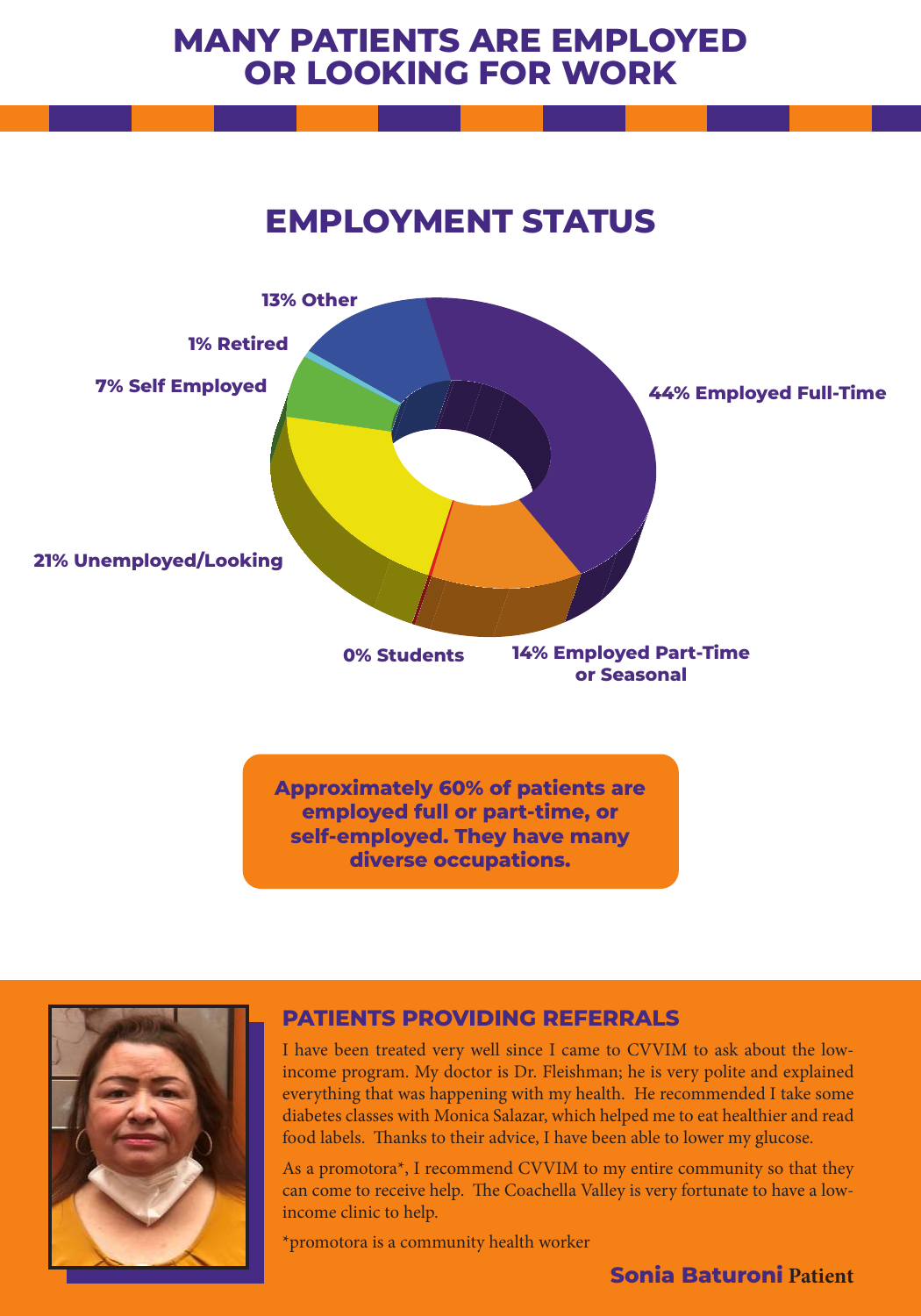## **MANY PATIENTS ARE EMPLOYED OR LOOKING FOR WORK**

## **EMPLOYMENT STATUS**



**self-employed. They have many diverse occupations.**



#### **PATIENTS PROVIDING REFERRALS**

I have been treated very well since I came to CVVIM to ask about the lowincome program. My doctor is Dr. Fleishman; he is very polite and explained everything that was happening with my health. He recommended I take some diabetes classes with Monica Salazar, which helped me to eat healthier and read food labels. Thanks to their advice, I have been able to lower my glucose.

As a promotora\*, I recommend CVVIM to my entire community so that they can come to receive help. The Coachella Valley is very fortunate to have a lowincome clinic to help.

\*promotora is a community health worker

#### **Sonia Baturoni Patient**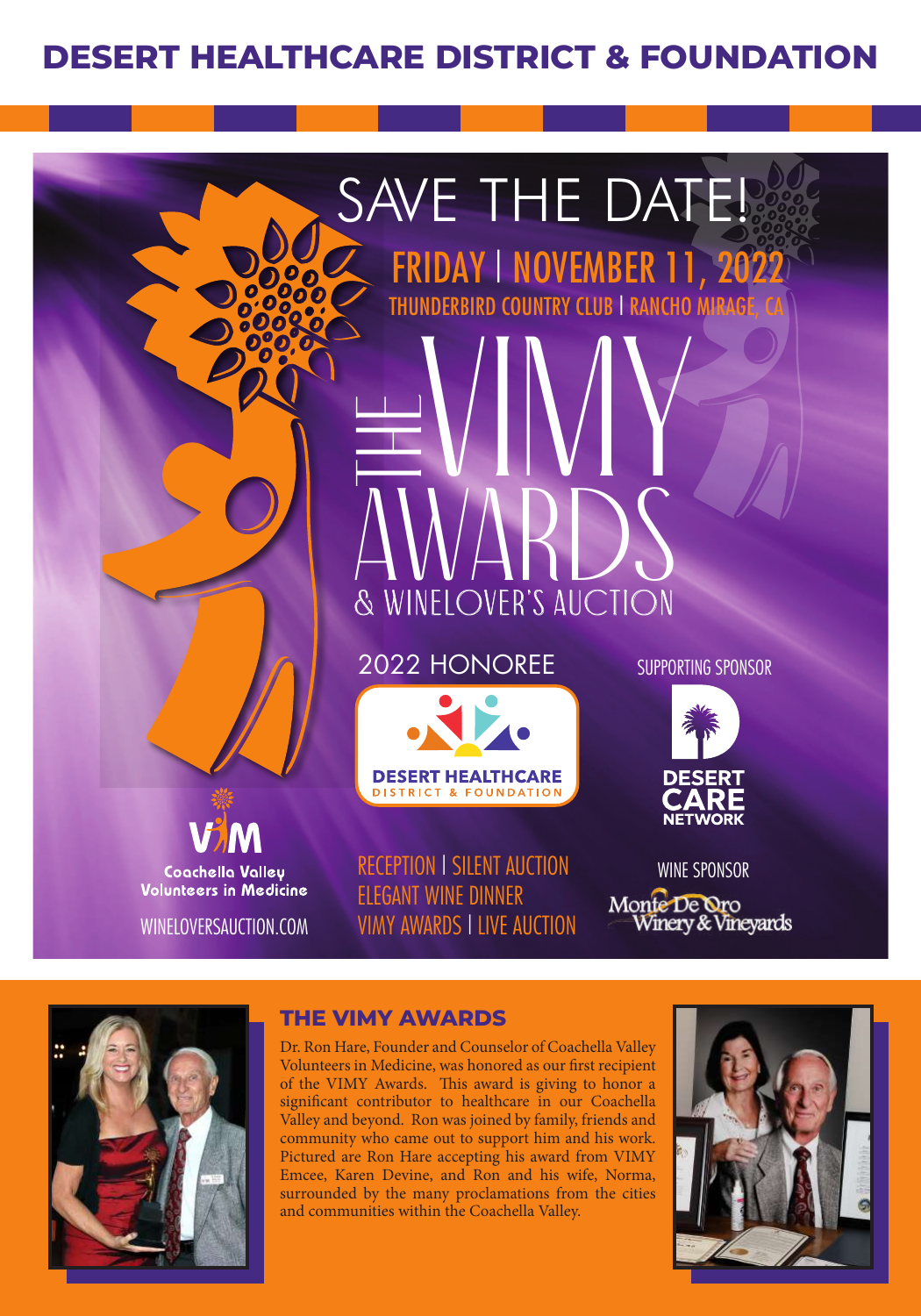## **DESERT HEALTHCARE DISTRICT & FOUNDATION**

## SAVE THE DATE! FRIDAY | NOVEMBER 11, 2022

THUNDERBIRD COUNTRY CLUB | RANCHO MI<del>rage, CA</del><br>North Lang | North Lang | Rancho Mirage, CA<br>North Lang | North Lang | North Lang | North Lang | North Lang | North Lang | North Lang | North Lang | North Lang | North Lang | N

Coachella Valley **Volunteers in Medicine** 

WINELOVERSAUCTION.COM

2022 HONOREE

AWARDS

& WINELOVER'S AUCTION



RECEPTION | SILENT AUCTION ELEGANT WINE DINNER VIMY AWARDS | LIVE AUCTION SUPPORTING SPONSOR



WINE SPONSOR Monte De Oro<br>Winery & Vineyards



#### **THE VIMY AWARDS**

The

Dr. Ron Hare, Founder and Counselor of Coachella Valley Volunteers in Medicine, was honored as our first recipient of the VIMY Awards. This award is giving to honor a significant contributor to healthcare in our Coachella Valley and beyond. Ron was joined by family, friends and community who came out to support him and his work. Pictured are Ron Hare accepting his award from VIMY Emcee, Karen Devine, and Ron and his wife, Norma, surrounded by the many proclamations from the cities and communities within the Coachella Valley.

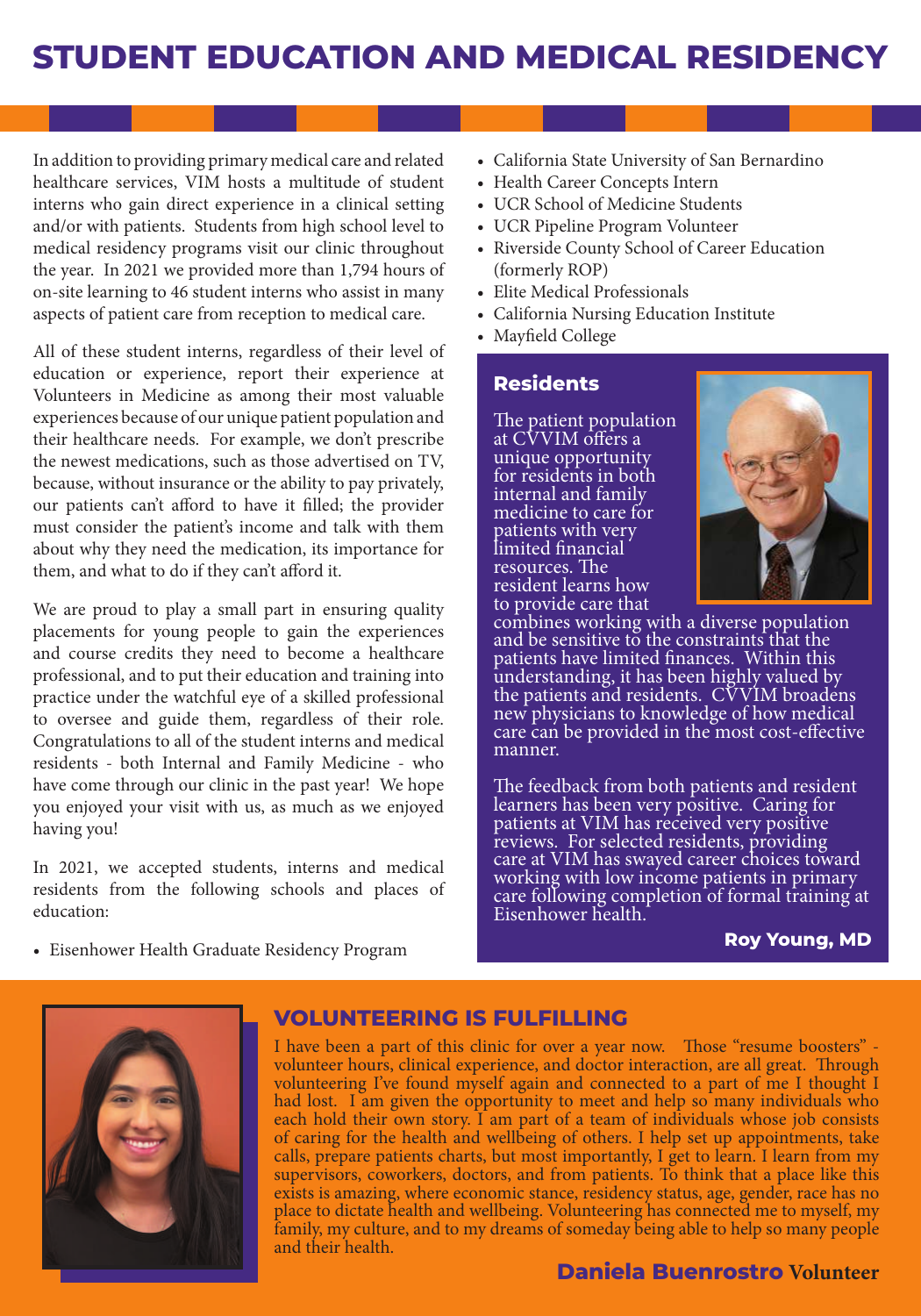## **STUDENT EDUCATION AND MEDICAL RESIDENCY**

In addition to providing primary medical care and related healthcare services, VIM hosts a multitude of student interns who gain direct experience in a clinical setting and/or with patients. Students from high school level to medical residency programs visit our clinic throughout the year. In 2021 we provided more than 1,794 hours of on-site learning to 46 student interns who assist in many aspects of patient care from reception to medical care.

All of these student interns, regardless of their level of education or experience, report their experience at Volunteers in Medicine as among their most valuable experiences because of our unique patient population and their healthcare needs. For example, we don't prescribe the newest medications, such as those advertised on TV, because, without insurance or the ability to pay privately, our patients can't afford to have it filled; the provider must consider the patient's income and talk with them about why they need the medication, its importance for them, and what to do if they can't afford it.

We are proud to play a small part in ensuring quality placements for young people to gain the experiences and course credits they need to become a healthcare professional, and to put their education and training into practice under the watchful eye of a skilled professional to oversee and guide them, regardless of their role. Congratulations to all of the student interns and medical residents - both Internal and Family Medicine - who have come through our clinic in the past year! We hope you enjoyed your visit with us, as much as we enjoyed having you!

In 2021, we accepted students, interns and medical residents from the following schools and places of education:

• Eisenhower Health Graduate Residency Program

- California State University of San Bernardino
- Health Career Concepts Intern
- UCR School of Medicine Students
- UCR Pipeline Program Volunteer
- Riverside County School of Career Education (formerly ROP)
- Elite Medical Professionals
- California Nursing Education Institute
- Mayfield College

#### **Residents**

The patient population at CVVIM offers a unique opportunity for residents in both internal and family medicine to care for patients with very limited financial resources. The resident learns how to provide care that



combines working with a diverse population and be sensitive to the constraints that the patients have limited finances. Within this understanding, it has been highly valued by the patients and residents. CVVIM broadens new physicians to knowledge of how medical care can be provided in the most cost-effective manner.

The feedback from both patients and resident learners has been very positive. Caring for patients at VIM has received very positive reviews. For selected residents, providing care at VIM has swayed career choices toward working with low income patients in primary care following completion of formal training at Eisenhower health.

#### **Roy Young, MD**



#### **VOLUNTEERING IS FULFILLING**

I have been a part of this clinic for over a year now. Those "resume boosters" volunteer hours, clinical experience, and doctor interaction, are all great. Through volunteering I've found myself again and connected to a part of me I thought I had lost. I am given the opportunity to meet and help so many individuals who each hold their own story. I am part of a team of individuals whose job consists of caring for the health and wellbeing of others. I help set up appointments, take calls, prepare patients charts, but most importantly, I get to learn. I learn from my supervisors, coworkers, doctors, and from patients. To think that a place like this exists is amazing, where economic stance, residency status, age, gender, race has no place to dictate health and wellbeing. Volunteering has connected me to myself, my family, my culture, and to my dreams of someday being able to help so many people and their health.

#### **Daniela Buenrostro Volunteer**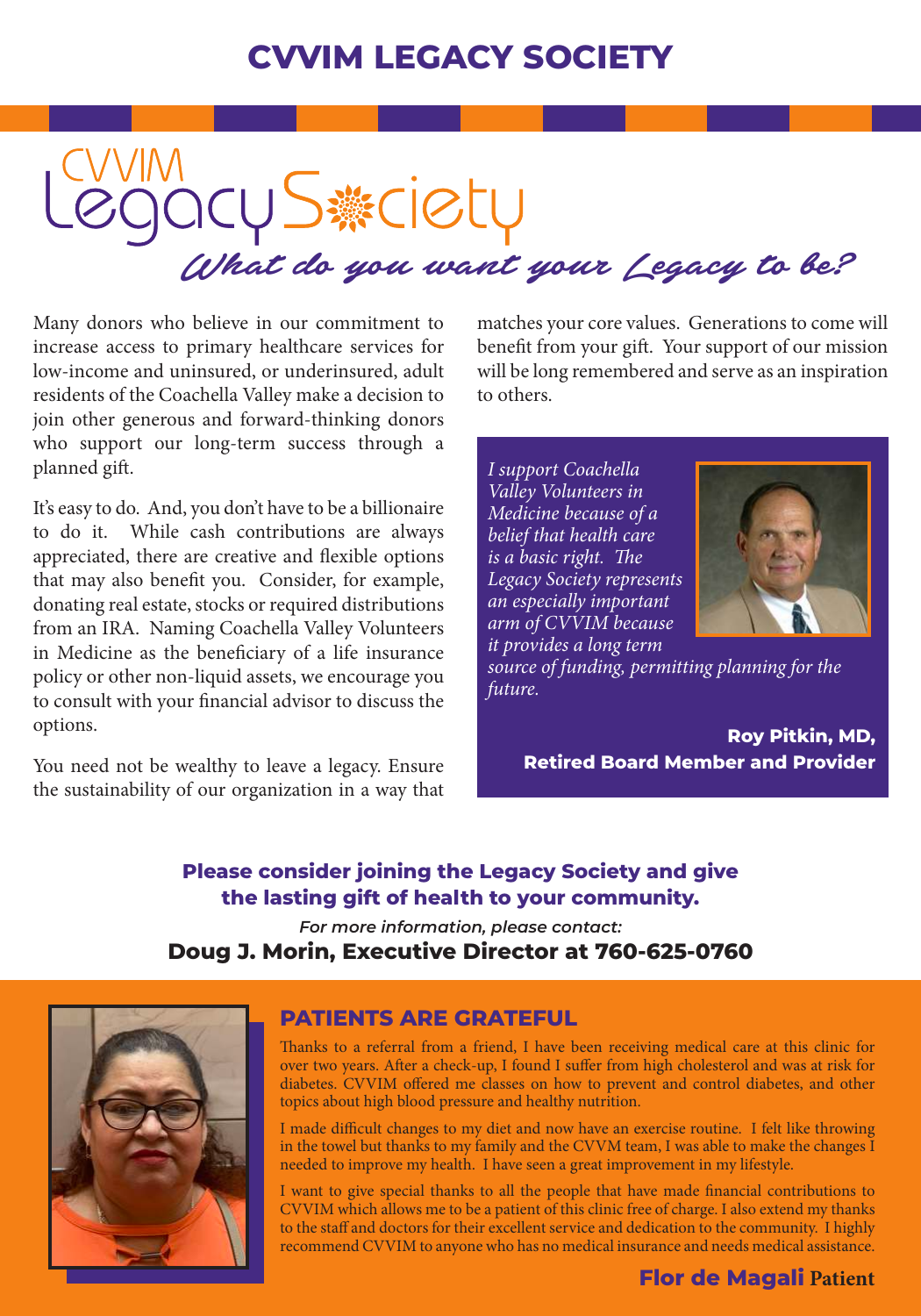## **CVVIM LEGACY SOCIETY**

OCU S # CIBLU<br>What do you want your Legacy to be?

Many donors who believe in our commitment to increase access to primary healthcare services for low-income and uninsured, or underinsured, adult residents of the Coachella Valley make a decision to join other generous and forward-thinking donors who support our long-term success through a planned gift.

It's easy to do. And, you don't have to be a billionaire to do it. While cash contributions are always appreciated, there are creative and flexible options that may also benefit you. Consider, for example, donating real estate, stocks or required distributions from an IRA. Naming Coachella Valley Volunteers in Medicine as the beneficiary of a life insurance policy or other non-liquid assets, we encourage you to consult with your financial advisor to discuss the options.

You need not be wealthy to leave a legacy. Ensure the sustainability of our organization in a way that

matches your core values. Generations to come will benefit from your gift. Your support of our mission will be long remembered and serve as an inspiration to others.

*I support Coachella Valley Volunteers in Medicine because of a belief that health care is a basic right. The Legacy Society represents an especially important arm of CVVIM because it provides a long term* 



*source of funding, permitting planning for the future.*

> **Roy Pitkin, MD, Retired Board Member and Provider**

#### **Please consider joining the Legacy Society and give the lasting gift of health to your community.** *For more information, please contact:*

**Doug J. Morin, Executive Director at 760-625-0760**



#### **PATIENTS ARE GRATEFUL**

Thanks to a referral from a friend, I have been receiving medical care at this clinic for over two years. After a check-up, I found I suffer from high cholesterol and was at risk for diabetes. CVVIM offered me classes on how to prevent and control diabetes, and other topics about high blood pressure and healthy nutrition.

I made difficult changes to my diet and now have an exercise routine. I felt like throwing in the towel but thanks to my family and the CVVM team, I was able to make the changes I needed to improve my health. I have seen a great improvement in my lifestyle.

I want to give special thanks to all the people that have made financial contributions to CVVIM which allows me to be a patient of this clinic free of charge. I also extend my thanks to the staff and doctors for their excellent service and dedication to the community. I highly recommend CVVIM to anyone who has no medical insurance and needs medical assistance.

#### **Flor de Magali Patient**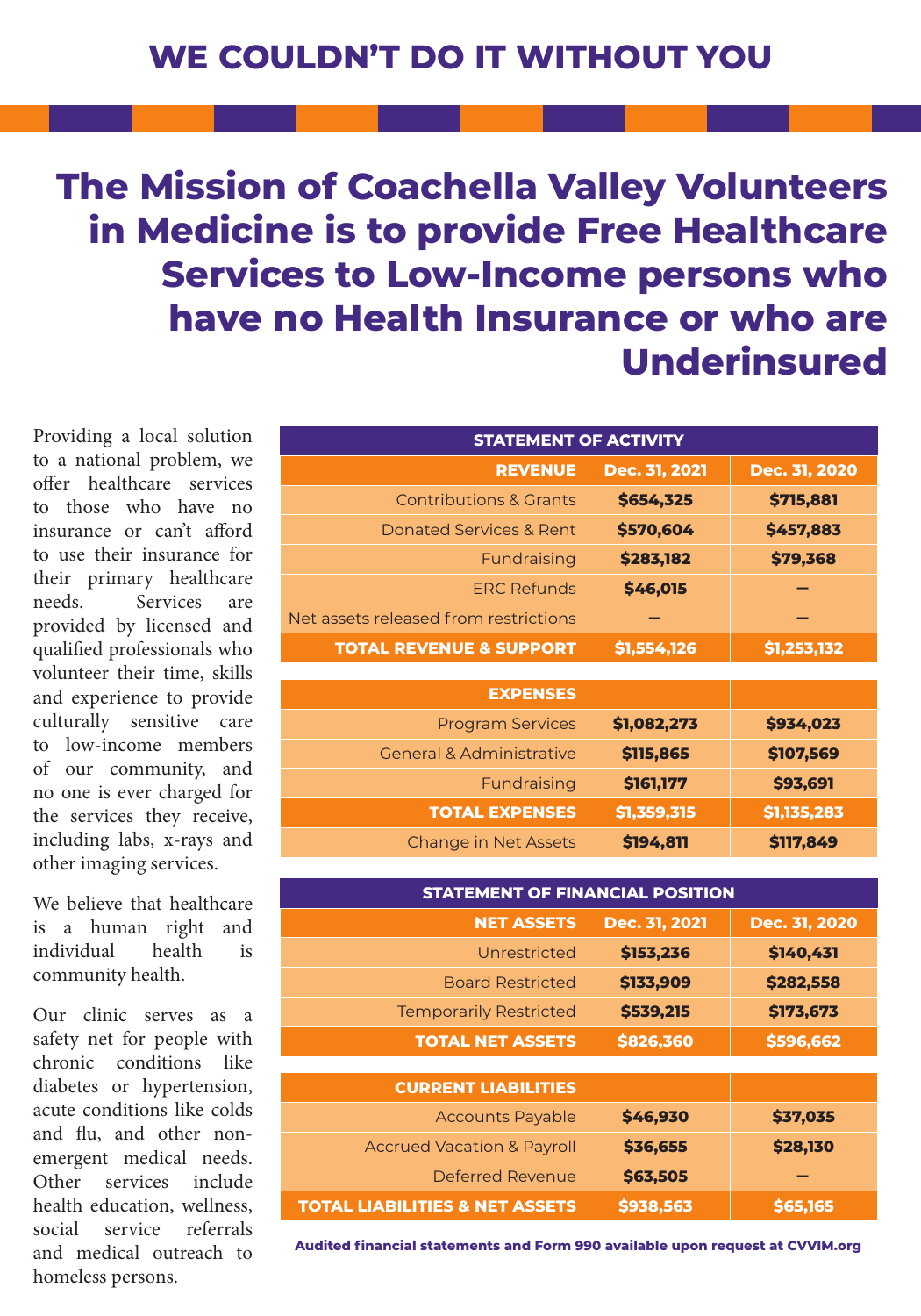## **The Mission of Coachella Valley Volunteers in Medicine is to provide Free Healthcare Services to Low-Income persons who have no Health Insurance or who are Underinsured**

Providing a local solution to a national problem, we offer healthcare services to those who have no insurance or can't afford to use their insurance for their primary healthcare needs. Services are provided by licensed and qualified professionals who volunteer their time, skills and experience to provide culturally sensitive care to low-income members of our community, and no one is ever charged for the services they receive, including labs, x-rays and other imaging services.

We believe that healthcare is a human right and individual health is community health.

Our clinic serves as a safety net for people with chronic conditions like diabetes or hypertension, acute conditions like colds and flu, and other nonemergent medical needs. Other services include health education, wellness, social service referrals and medical outreach to homeless persons.

| <b>STATEMENT OF ACTIVITY</b>          |               |               |  |
|---------------------------------------|---------------|---------------|--|
| <b>REVENUE</b>                        | Dec. 31, 2021 | Dec. 31, 2020 |  |
| <b>Contributions &amp; Grants</b>     | \$654,325     | \$715,881     |  |
| <b>Donated Services &amp; Rent</b>    | \$570,604     | \$457,883     |  |
| Fundraising                           | \$283,182     | \$79,368      |  |
| <b>ERC Refunds</b>                    | \$46,015      |               |  |
| Net assets released from restrictions |               |               |  |
| <b>TOTAL REVENUE &amp; SUPPORT</b>    | \$1,554,126   | \$1,253,132   |  |
|                                       |               |               |  |
| <b>EXPENSES</b>                       |               |               |  |
| <b>Program Services</b>               | \$1,082,273   | \$934,023     |  |
| <b>General &amp; Administrative</b>   | \$115,865     | \$107,569     |  |
| Fundraising                           | \$161,177     | \$93,691      |  |
| <b>TOTAL EXPENSES</b>                 | \$1,359,315   | \$1,135,283   |  |
| Change in Net Assets                  | \$194,811     | \$117,849     |  |

| <b>STATEMENT OF FINANCIAL POSITION</b>    |               |               |  |
|-------------------------------------------|---------------|---------------|--|
| <b>NET ASSETS</b>                         | Dec. 31, 2021 | Dec. 31, 2020 |  |
| Unrestricted                              | \$153,236     | \$140,431     |  |
| <b>Board Restricted</b>                   | \$133,909     | \$282,558     |  |
| <b>Temporarily Restricted</b>             | \$539,215     | \$173,673     |  |
| <b>TOTAL NET ASSETS</b>                   | \$826,360     | \$596,662     |  |
|                                           |               |               |  |
| <b>CURRENT LIABILITIES</b>                |               |               |  |
| <b>Accounts Payable</b>                   | \$46,930      | \$37,035      |  |
| <b>Accrued Vacation &amp; Payroll</b>     | \$36,655      | \$28,130      |  |
| Deferred Revenue                          | \$63,505      |               |  |
| <b>TOTAL LIABILITIES &amp; NET ASSETS</b> | \$938,563     | \$65,165      |  |

**Audited financial statements and Form 990 available upon request at CVVIM.org**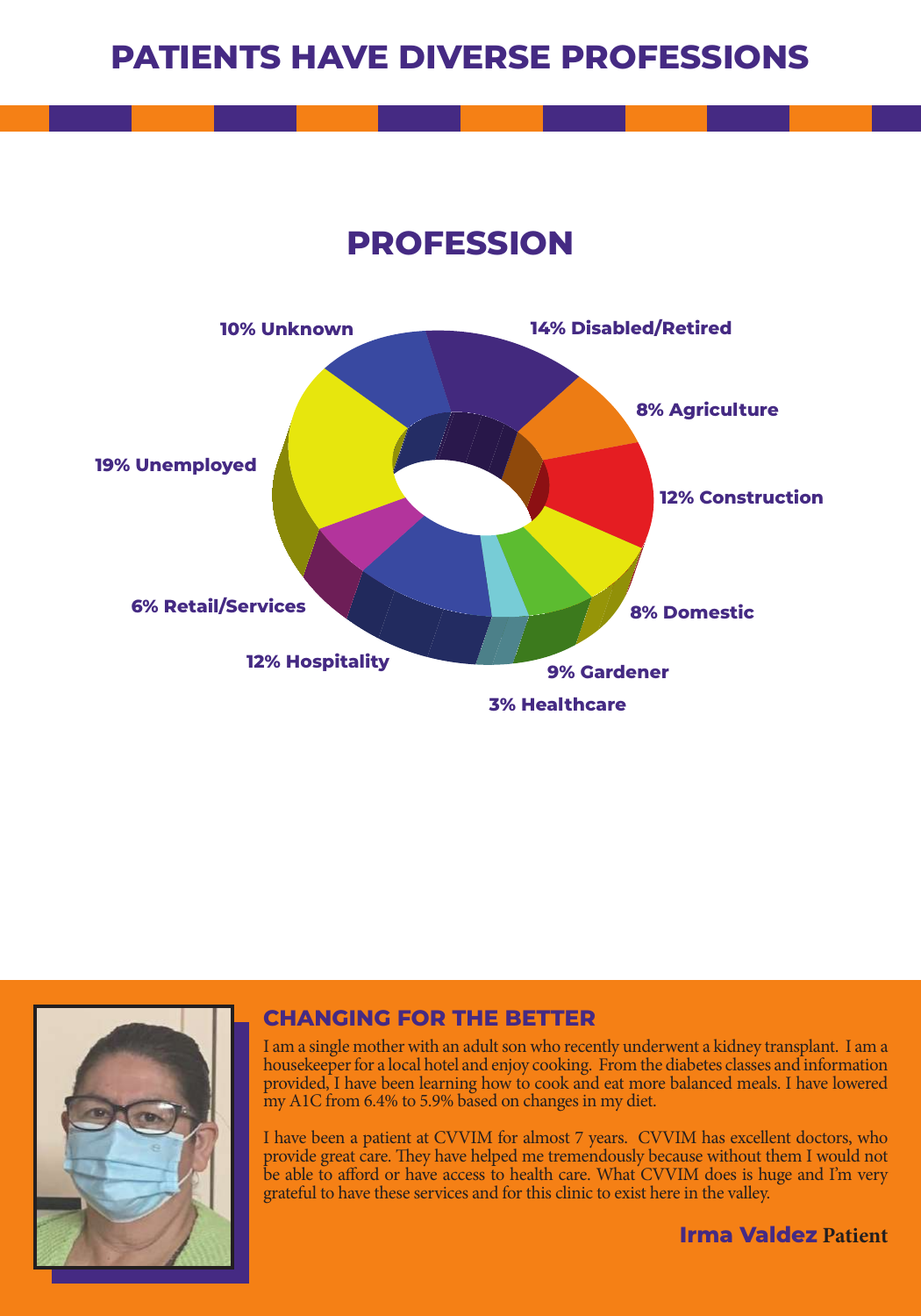## **PATIENTS HAVE DIVERSE PROFESSIONS**

**PROFESSION**





#### **CHANGING FOR THE BETTER**

I am a single mother with an adult son who recently underwent a kidney transplant. I am a housekeeper for a local hotel and enjoy cooking. From the diabetes classes and information provided, I have been learning how to cook and eat more balanced meals. I have lowered my A1C from 6.4% to 5.9% based on changes in my diet.

I have been a patient at CVVIM for almost 7 years. CVVIM has excellent doctors, who provide great care. They have helped me tremendously because without them I would not be able to afford or have access to health care. What CVVIM does is huge and I'm very grateful to have these services and for this clinic to exist here in the valley.

**Irma Valdez Patient**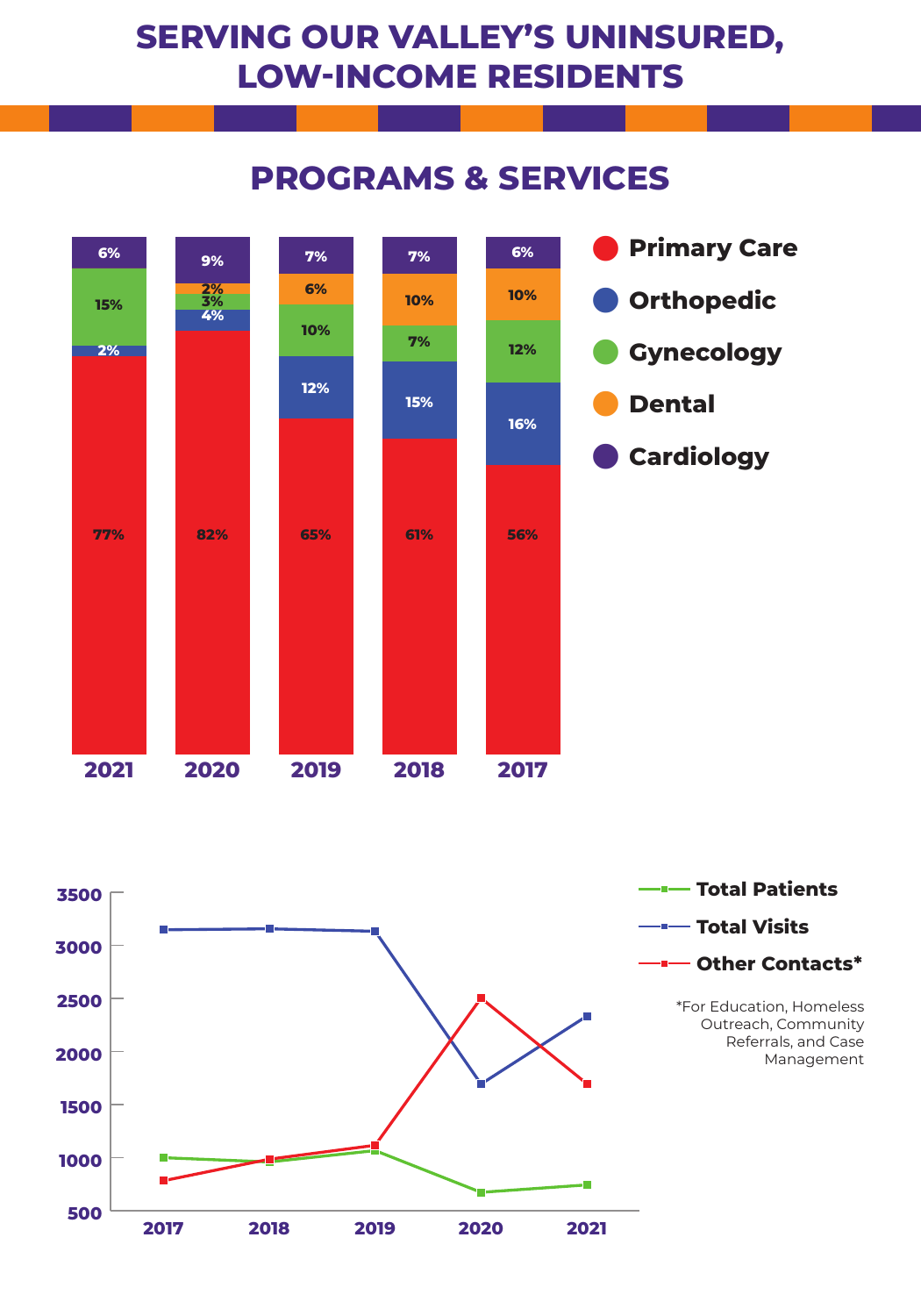## **SERVING OUR VALLEY'S UNINSURED, LOW-INCOME RESIDENTS**

## **PROGRAMS & SERVICES**